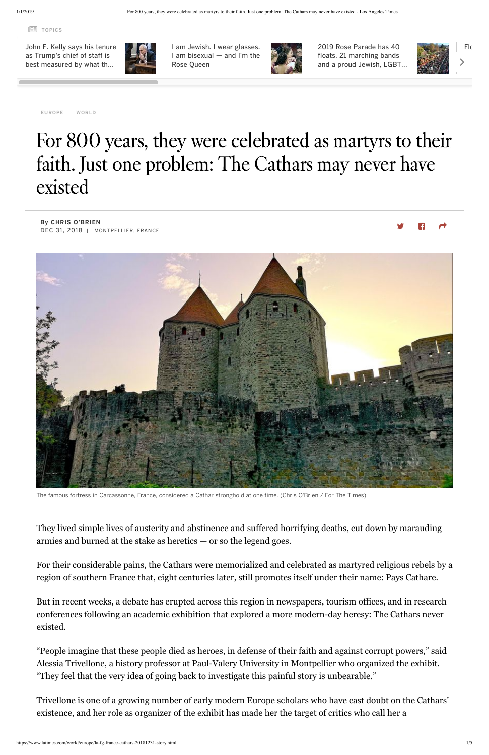TOPICS

By CHRIS O'BRIEN DEC 31, 2018 | MONTPELLIER, FRANCE

[EUROPE](https://www.latimes.com/world/europe/#nt=taxonomy-article) [WORLD](https://www.latimes.com/world/#nt=taxonomy-article)

## For 800 years, they were celebrated as martyrs to their faith. Just one problem: The Cathars may never have existed



The famous fortress in Carcassonne, France, considered a Cathar stronghold at one time. (Chris O'Brien / For The Times)

They lived simple lives of austerity and abstinence and suffered horrifying deaths, cut down by marauding armies and burned at the stake as heretics — or so the legend goes.

For their considerable pains, the Cathars were memorialized and celebrated as martyred religious rebels by a region of southern France that, eight centuries later, still promotes itself under their name: Pays Cathare.

But in recent weeks, a debate has erupted across this region in newspapers, tourism offices, and in research conferences following an academic exhibition that explored a more modern-day heresy: The Cathars never existed.

"People imagine that these people died as heroes, in defense of their faith and against corrupt powers," said Alessia Trivellone, a history professor at Paul-Valery University in Montpellier who organized the exhibit. "They feel that the very idea of going back to investigate this painful story is unbearable."

Trivellone is one of a growing number of early modern Europe scholars who have cast doubt on the Cathars' existence, and her role as organizer of the exhibit has made her the target of critics who call her a

John F. Kelly says his tenure [as Trump's chief](https://www.latimes.com/politics/la-na-pol-john-kelly-exit-interview-20181230-story.html#nt=tertiarynavbar) of staff is best measured by what th…



I am Jewish. I wear glasses. I am [bisexual](https://www.latimes.com/opinion/op-ed/la-oe-siskel-rose-queen-20181231-story.html#nt=tertiarynavbar) — and I'm the Rose Queen



2019 Rose Parade has 40 floats, 21 [marching](https://www.latimes.com/local/lanow/la-me-ln-rose-parade-2019-20190101-story.html#nt=tertiarynavbar) bands and a proud Jewish, LGBT…

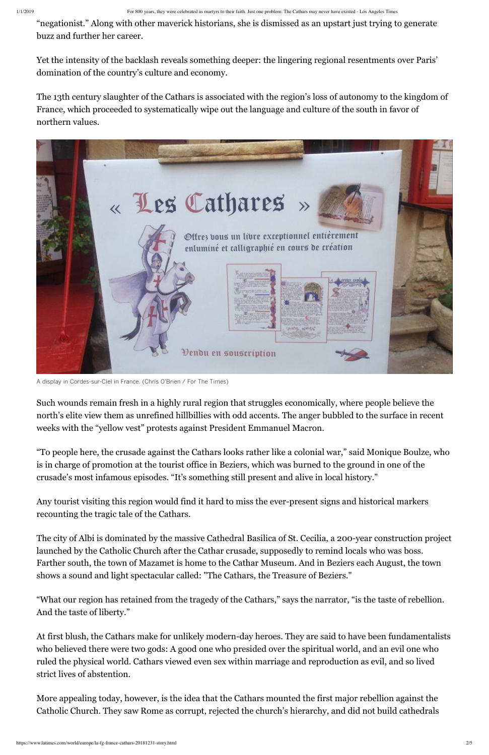"negationist." Along with other maverick historians, she is dismissed as an upstart just trying to generate buzz and further her career.

Yet the intensity of the backlash reveals something deeper: the lingering regional resentments over Paris' domination of the country's culture and economy.

The 13th century slaughter of the Cathars is associated with the region's loss of autonomy to the kingdom of France, which proceeded to systematically wipe out the language and culture of the south in favor of northern values.



A display in Cordes-sur-Ciel in France. (Chris O'Brien / For The Times)

Such wounds remain fresh in a highly rural region that struggles economically, where people believe the north's elite view them as unrefined hillbillies with odd accents. The anger bubbled to the surface in recent weeks with the "yellow vest" protests against President Emmanuel Macron.

"To people here, the crusade against the Cathars looks rather like a colonial war," said Monique Boulze, who is in charge of promotion at the tourist office in Beziers, which was burned to the ground in one of the crusade's most infamous episodes. "It's something still present and alive in local history."

Any tourist visiting this region would find it hard to miss the ever-present signs and historical markers recounting the tragic tale of the Cathars.

The city of Albi is dominated by the massive Cathedral Basilica of St. Cecilia, a 200-year construction project launched by the Catholic Church after the Cathar crusade, supposedly to remind locals who was boss.

Farther south, the town of Mazamet is home to the Cathar Museum. And in Beziers each August, the town shows a sound and light spectacular called: "The Cathars, the Treasure of Beziers."

"What our region has retained from the tragedy of the Cathars," says the narrator, "is the taste of rebellion. And the taste of liberty."

At first blush, the Cathars make for unlikely modern-day heroes. They are said to have been fundamentalists who believed there were two gods: A good one who presided over the spiritual world, and an evil one who ruled the physical world. Cathars viewed even sex within marriage and reproduction as evil, and so lived strict lives of abstention.

More appealing today, however, is the idea that the Cathars mounted the first major rebellion against the Catholic Church. They saw Rome as corrupt, rejected the church's hierarchy, and did not build cathedrals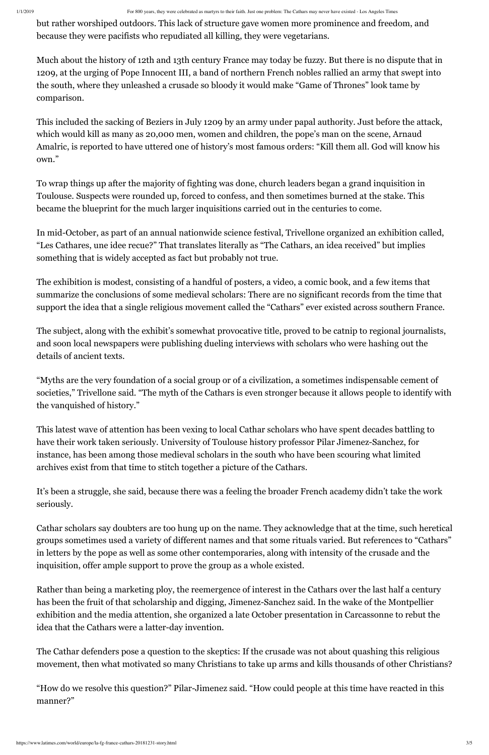but rather worshiped outdoors. This lack of structure gave women more prominence and freedom, and because they were pacifists who repudiated all killing, they were vegetarians.

Much about the history of 12th and 13th century France may today be fuzzy. But there is no dispute that in 1209, at the urging of Pope Innocent III, a band of northern French nobles rallied an army that swept into the south, where they unleashed a crusade so bloody it would make "Game of Thrones" look tame by comparison.

This included the sacking of Beziers in July 1209 by an army under papal authority. Just before the attack, which would kill as many as 20,000 men, women and children, the pope's man on the scene, Arnaud Amalric, is reported to have uttered one of history's most famous orders: "Kill them all. God will know his own."

To wrap things up after the majority of fighting was done, church leaders began a grand inquisition in Toulouse. Suspects were rounded up, forced to confess, and then sometimes burned at the stake. This became the blueprint for the much larger inquisitions carried out in the centuries to come.

In mid-October, as part of an annual nationwide science festival, Trivellone organized an exhibition called, "Les Cathares, une idee recue?" That translates literally as "The Cathars, an idea received" but implies something that is widely accepted as fact but probably not true.

The exhibition is modest, consisting of a handful of posters, a video, a comic book, and a few items that summarize the conclusions of some medieval scholars: There are no significant records from the time that support the idea that a single religious movement called the "Cathars" ever existed across southern France.

The subject, along with the exhibit's somewhat provocative title, proved to be catnip to regional journalists, and soon local newspapers were publishing dueling interviews with scholars who were hashing out the details of ancient texts.

"Myths are the very foundation of a social group or of a civilization, a sometimes indispensable cement of societies," Trivellone said. "The myth of the Cathars is even stronger because it allows people to identify with the vanquished of history."

This latest wave of attention has been vexing to local Cathar scholars who have spent decades battling to have their work taken seriously. University of Toulouse history professor Pilar Jimenez-Sanchez, for instance, has been among those medieval scholars in the south who have been scouring what limited archives exist from that time to stitch together a picture of the Cathars.

It's been a struggle, she said, because there was a feeling the broader French academy didn't take the work seriously.

Cathar scholars say doubters are too hung up on the name. They acknowledge that at the time, such heretical groups sometimes used a variety of different names and that some rituals varied. But references to "Cathars" in letters by the pope as well as some other contemporaries, along with intensity of the crusade and the inquisition, offer ample support to prove the group as a whole existed.

Rather than being a marketing ploy, the reemergence of interest in the Cathars over the last half a century has been the fruit of that scholarship and digging, Jimenez-Sanchez said. In the wake of the Montpellier exhibition and the media attention, she organized a late October presentation in Carcassonne to rebut the idea that the Cathars were a latter-day invention.

The Cathar defenders pose a question to the skeptics: If the crusade was not about quashing this religious movement, then what motivated so many Christians to take up arms and kills thousands of other Christians?

"How do we resolve this question?" Pilar-Jimenez said. "How could people at this time have reacted in this manner?"